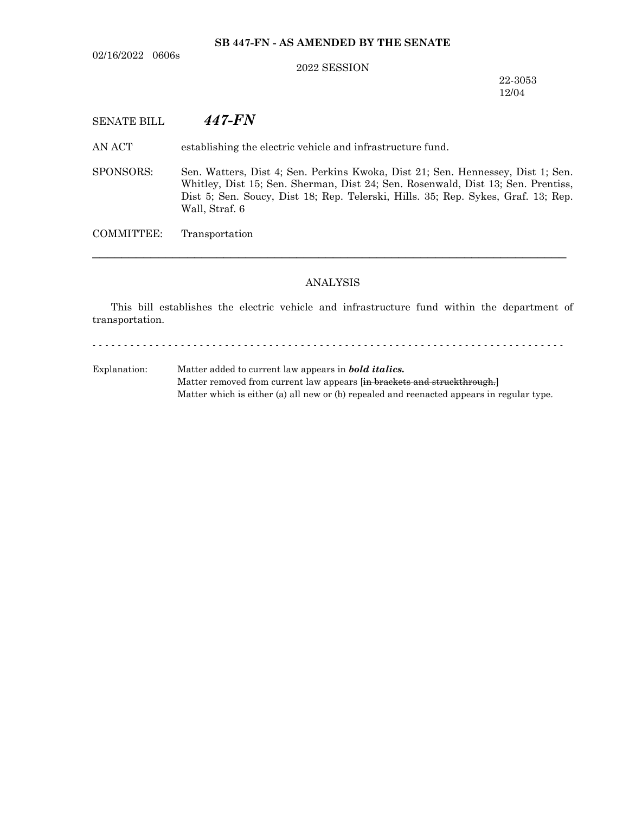02/16/2022 0606s

# **SB 447-FN - AS AMENDED BY THE SENATE**

#### 2022 SESSION

22-3053 12/04

# SENATE BILL *447-FN*

AN ACT establishing the electric vehicle and infrastructure fund.

SPONSORS: Sen. Watters, Dist 4; Sen. Perkins Kwoka, Dist 21; Sen. Hennessey, Dist 1; Sen. Whitley, Dist 15; Sen. Sherman, Dist 24; Sen. Rosenwald, Dist 13; Sen. Prentiss, Dist 5; Sen. Soucy, Dist 18; Rep. Telerski, Hills. 35; Rep. Sykes, Graf. 13; Rep. Wall, Straf. 6

COMMITTEE: Transportation

## ANALYSIS

─────────────────────────────────────────────────────────────────

This bill establishes the electric vehicle and infrastructure fund within the department of transportation.

- - - - - - - - - - - - - - - - - - - - - - - - - - - - - - - - - - - - - - - - - - - - - - - - - - - - - - - - - - - - - - - - - - - - - - - - - - -

Explanation: Matter added to current law appears in *bold italics.* Matter removed from current law appears [in brackets and struckthrough.] Matter which is either (a) all new or (b) repealed and reenacted appears in regular type.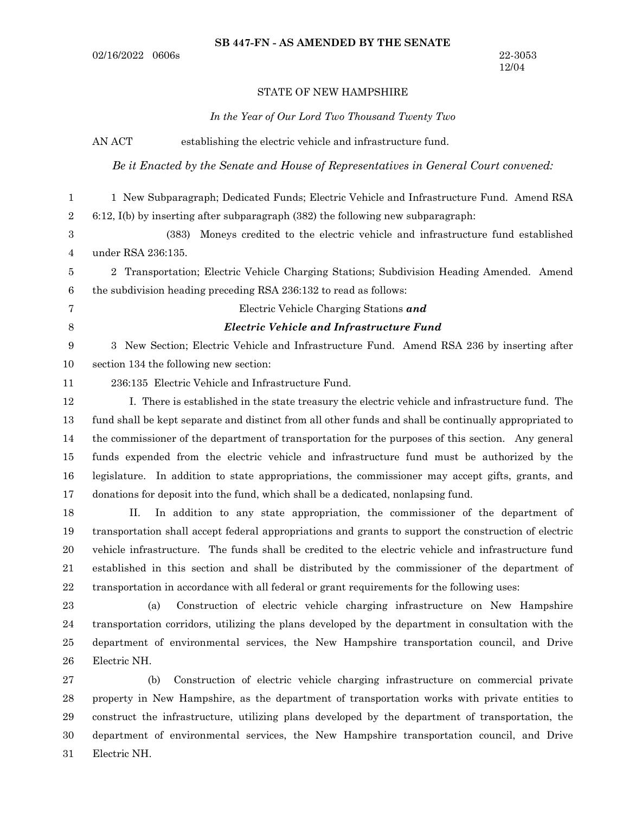#### STATE OF NEW HAMPSHIRE

*In the Year of Our Lord Two Thousand Twenty Two*

AN ACT establishing the electric vehicle and infrastructure fund.

*Be it Enacted by the Senate and House of Representatives in General Court convened:*

1 New Subparagraph; Dedicated Funds; Electric Vehicle and Infrastructure Fund. Amend RSA 6:12, I(b) by inserting after subparagraph (382) the following new subparagraph: 1 2

(383) Moneys credited to the electric vehicle and infrastructure fund established under RSA 236:135. 3 4

2 Transportation; Electric Vehicle Charging Stations; Subdivision Heading Amended. Amend the subdivision heading preceding RSA 236:132 to read as follows: 5 6

7 8 Electric Vehicle Charging Stations *and*

## *Electric Vehicle and Infrastructure Fund*

3 New Section; Electric Vehicle and Infrastructure Fund. Amend RSA 236 by inserting after section 134 the following new section: 9 10

11

236:135 Electric Vehicle and Infrastructure Fund.

I. There is established in the state treasury the electric vehicle and infrastructure fund. The fund shall be kept separate and distinct from all other funds and shall be continually appropriated to the commissioner of the department of transportation for the purposes of this section. Any general funds expended from the electric vehicle and infrastructure fund must be authorized by the legislature. In addition to state appropriations, the commissioner may accept gifts, grants, and donations for deposit into the fund, which shall be a dedicated, nonlapsing fund. 12 13 14 15 16 17

II. In addition to any state appropriation, the commissioner of the department of transportation shall accept federal appropriations and grants to support the construction of electric vehicle infrastructure. The funds shall be credited to the electric vehicle and infrastructure fund established in this section and shall be distributed by the commissioner of the department of transportation in accordance with all federal or grant requirements for the following uses: 18 19 20 21 22

23

(a) Construction of electric vehicle charging infrastructure on New Hampshire transportation corridors, utilizing the plans developed by the department in consultation with the department of environmental services, the New Hampshire transportation council, and Drive Electric NH. 24 25 26

(b) Construction of electric vehicle charging infrastructure on commercial private property in New Hampshire, as the department of transportation works with private entities to construct the infrastructure, utilizing plans developed by the department of transportation, the department of environmental services, the New Hampshire transportation council, and Drive Electric NH. 27 28 29 30 31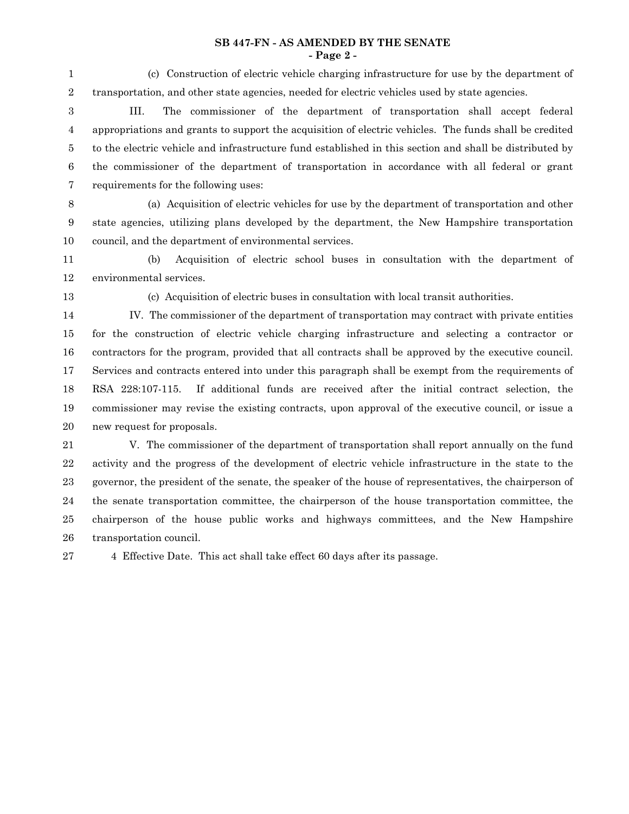### **SB 447-FN - AS AMENDED BY THE SENATE - Page 2 -**

(c) Construction of electric vehicle charging infrastructure for use by the department of transportation, and other state agencies, needed for electric vehicles used by state agencies. 1 2

III. The commissioner of the department of transportation shall accept federal appropriations and grants to support the acquisition of electric vehicles. The funds shall be credited to the electric vehicle and infrastructure fund established in this section and shall be distributed by the commissioner of the department of transportation in accordance with all federal or grant requirements for the following uses: 3 4 5 6 7

8

(a) Acquisition of electric vehicles for use by the department of transportation and other state agencies, utilizing plans developed by the department, the New Hampshire transportation council, and the department of environmental services. 9 10

(b) Acquisition of electric school buses in consultation with the department of environmental services. 11 12

13

(c) Acquisition of electric buses in consultation with local transit authorities.

IV. The commissioner of the department of transportation may contract with private entities for the construction of electric vehicle charging infrastructure and selecting a contractor or contractors for the program, provided that all contracts shall be approved by the executive council. Services and contracts entered into under this paragraph shall be exempt from the requirements of RSA 228:107-115. If additional funds are received after the initial contract selection, the commissioner may revise the existing contracts, upon approval of the executive council, or issue a new request for proposals. 14 15 16 17 18 19 20

V. The commissioner of the department of transportation shall report annually on the fund activity and the progress of the development of electric vehicle infrastructure in the state to the governor, the president of the senate, the speaker of the house of representatives, the chairperson of the senate transportation committee, the chairperson of the house transportation committee, the chairperson of the house public works and highways committees, and the New Hampshire transportation council. 21 22 23 24 25 26

4 Effective Date. This act shall take effect 60 days after its passage. 27